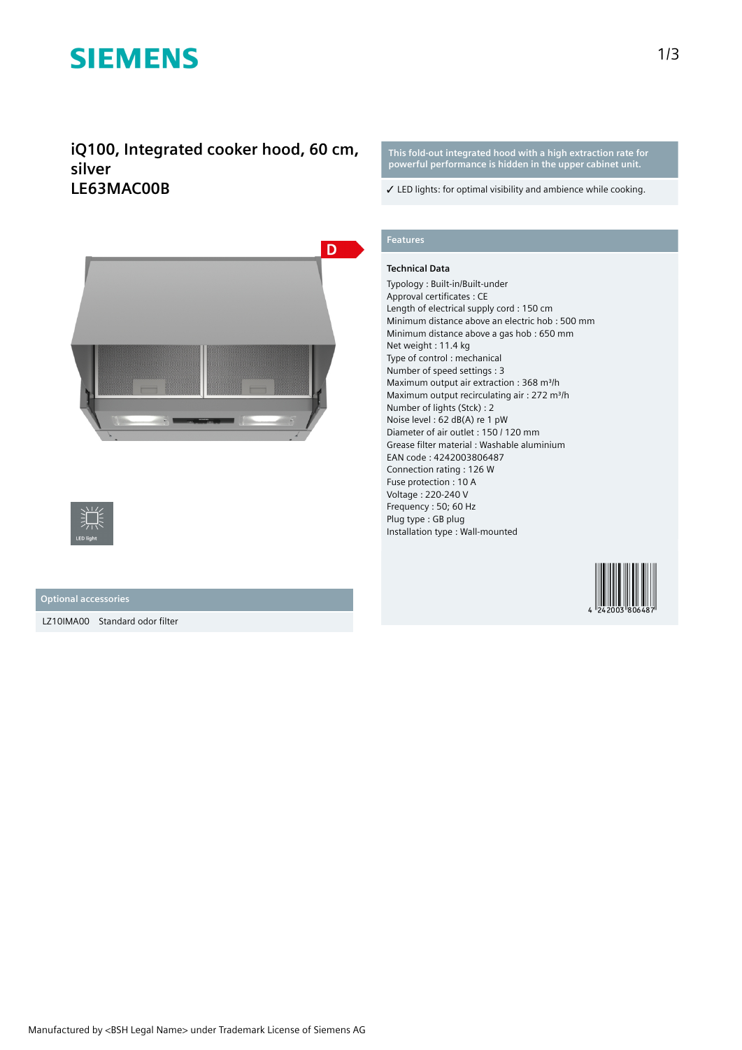# **SIEMENS**

**iQ100, Integrated cooker hood, 60 cm, silver LE63MAC00B**



**Optional accessories**

LZ10IMA00 Standard odor filter

**This fold-out integrated hood with a high extraction rate for powerful performance is hidden in the upper cabinet unit.**

✓ LED lights: for optimal visibility and ambience while cooking.

### **Features**

#### **Technical Data**

Typology : Built-in/Built-under Approval certificates : CE Length of electrical supply cord : 150 cm Minimum distance above an electric hob : 500 mm Minimum distance above a gas hob : 650 mm Net weight : 11.4 kg Type of control : mechanical Number of speed settings : 3 Maximum output air extraction : 368 m<sup>3</sup>/h Maximum output recirculating air : 272 m<sup>3</sup>/h Number of lights (Stck) : 2 Noise level : 62 dB(A) re 1 pW Diameter of air outlet : 150 / 120 mm Grease filter material : Washable aluminium EAN code : 4242003806487 Connection rating : 126 W Fuse protection : 10 A Voltage : 220-240 V Frequency : 50; 60 Hz Plug type : GB plug Installation type : Wall-mounted

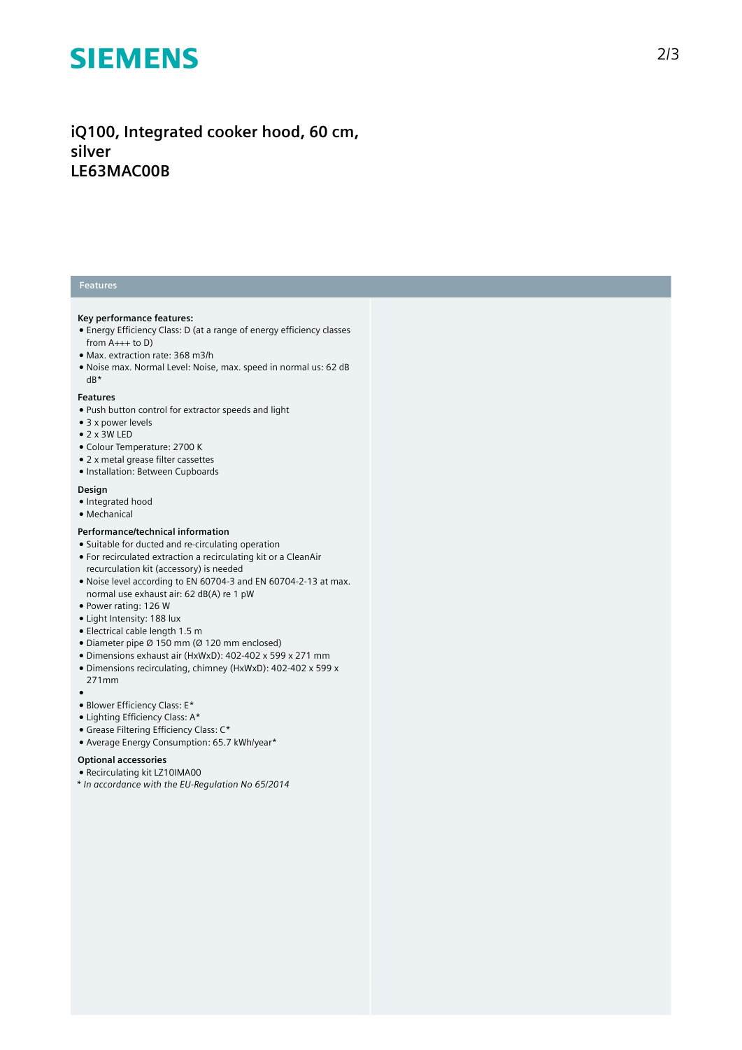# **SIEMENS**

### iQ100, Integrated cooker hood, 60 cm, **s i l v e r LE63MAC00B**

#### **Features**

#### **Key performance features:**

- Energy Efficiency Class: D (at a range of energy efficiency classes from A+++ to D)
- Max. extraction rate: 368 m3/h
- Noise max. Normal Level: Noise, max. speed in normal us: 62 dB dB\*

#### **Features**

- Push button control for extractor speeds and light
- 3 x power levels
- $\bullet$  2 x 3W LED
- Colour Temperature: 2700 K
- 2 x metal grease filter cassettes
- Installation: Between Cupboards

#### **Design**

- Integrated hood
- Mechanical

#### Performance/technical information

- Suitable for ducted and re-circulating operation
- For recirculated extraction a recirculating kit or a CleanAir recurculation kit (accessory) is needed
- Noise level according to EN 60704-3 and EN 60704-2-13 at max. normal use exhaust air: 62 dB(A) re 1 pW
- Power rating: 126 W
- Light Intensity: 188 lux
- Electrical cable length 1.5 m
- $\bullet$  Diameter pipe Ø 150 mm (Ø 120 mm enclosed)
- Dimensions exhaust air (HxWxD): 402-402 x 599 x 271 mm
- Dimensions recirculating, chimney (HxWxD): 402-402 x 599 x 271mm
- 
- ●<br>● Blower Efficiency Class: E\*
- 
- Lighting Efficiency Class: A\* • Grease Filtering Efficiency Class: C\*
- Average Energy Consumption: 65.7 kWh/year\*

#### Optional accessories

- Recirculating kit LZ10IMA00
- *\* In accordance with the EU-Regulation No 65/2014*